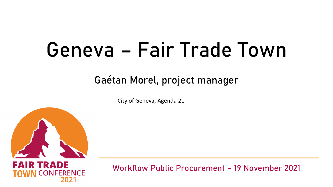# Geneva – Fair Trade Town

## Gaétan Morel, project manager

City of Geneva, Agenda 21



ENCE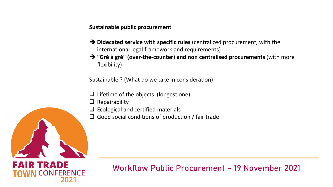**Sustainable public procurement**

- ➔ **Didecated service with specific rules** (centralized procurement, with the international legal framework and requirements)
- ➔ **"Gré à gré" (over-the-counter) and non centralised procurements** (with more flexibility)

Sustainable ? (What do we take in consideration)

- ❑ Lifetime of the objects (longest one)
- $\Box$  Repairability
- ❑ Ecological and certified materials
- $\Box$  Good social conditions of production / fair trade



FAIR TRADE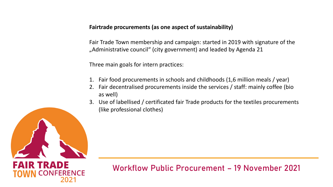**Fairtrade procurements (as one aspect of sustainability)**

Fair Trade Town membership and campaign: started in 2019 with signature of the "Administrative council" (city government) and leaded by Agenda 21

Three main goals for intern practices:

- 1. Fair food procurements in schools and childhoods (1,6 million meals / year)
- 2. Fair decentralised procurements inside the services / staff: mainly coffee (bio as well)
- 3. Use of labellised / certificated fair Trade products for the textiles procurements (like professional clothes)

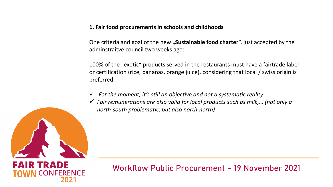**1. Fair food procurements in schools and childhoods**

One criteria and goal of the new "**Sustainable food charter**", just accepted by the adminstraitve council two weeks ago:

100% of the "exotic" products served in the restaurants must have a fairtrade label or certification (rice, bananas, orange juice), considering that local / swiss origin is preferred.

- ✓ *For the moment, it's still an objective and not a systematic reality*
- ✓ *Fair remunerations are also valid for local products such as milk,… (not only a north-south problematic, but also north-north)*



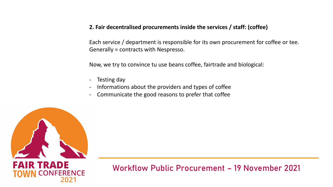#### **2. Fair decentralised procurements inside the services / staff: (coffee)**

Each service / department is responsible for its own procurement for coffee or tee. Generally = contracts with Nespresso.

Now, we try to convince tu use beans coffee, fairtrade and biological:

- Testing day
- Informations about the providers and types of coffee
- Communicate the good reasons to prefer that coffee

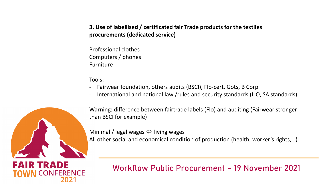#### **3. Use of labellised / certificated fair Trade products for the textiles procurements (dedicated service)**

Professional clothes Computers / phones Furniture

Tools:

- Fairwear foundation, others audits (BSCI), Flo-cert, Gots, B Corp
- International and national law /rules and security standards (ILO, SA standards)



FAIR TRADE

Warning: difference between fairtrade labels (Flo) and auditing (Fairwear stronger than BSCI for example)

Minimal / legal wages  $\Leftrightarrow$  living wages All other social and economical condition of production (health, worker's rights,…)